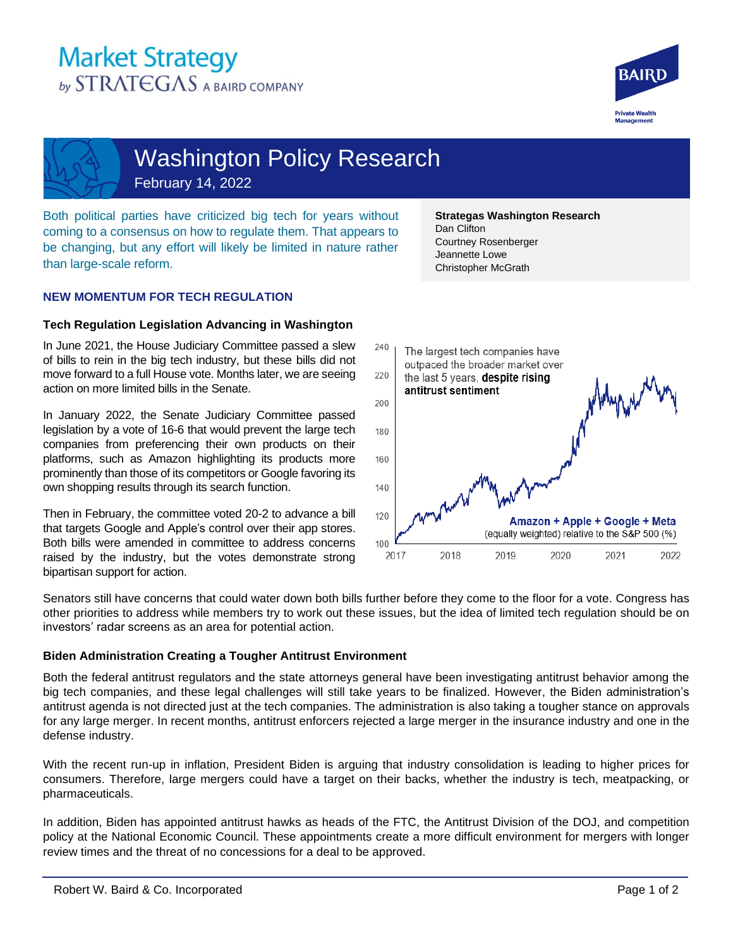# **Market Strategy** by STRATEGAS A BAIRD COMPANY



Washington Policy Research February 14, 2022

Both political parties have criticized big tech for years without coming to a consensus on how to regulate them. That appears to be changing, but any effort will likely be limited in nature rather than large-scale reform.

# **NEW MOMENTUM FOR TECH REGULATION**

# **Tech Regulation Legislation Advancing in Washington**

In June 2021, the House Judiciary Committee passed a slew of bills to rein in the big tech industry, but these bills did not move forward to a full House vote. Months later, we are seeing action on more limited bills in the Senate.

In January 2022, the Senate Judiciary Committee passed legislation by a vote of 16-6 that would prevent the large tech companies from preferencing their own products on their platforms, such as Amazon highlighting its products more prominently than those of its competitors or Google favoring its own shopping results through its search function.

Then in February, the committee voted 20-2 to advance a bill that targets Google and Apple's control over their app stores. Both bills were amended in committee to address concerns raised by the industry, but the votes demonstrate strong bipartisan support for action.

**Strategas Washington Research**  Dan Clifton Courtney Rosenberger Jeannette Lowe Christopher McGrath



Senators still have concerns that could water down both bills further before they come to the floor for a vote. Congress has other priorities to address while members try to work out these issues, but the idea of limited tech regulation should be on investors' radar screens as an area for potential action.

# **Biden Administration Creating a Tougher Antitrust Environment**

Both the federal antitrust regulators and the state attorneys general have been investigating antitrust behavior among the big tech companies, and these legal challenges will still take years to be finalized. However, the Biden administration's antitrust agenda is not directed just at the tech companies. The administration is also taking a tougher stance on approvals for any large merger. In recent months, antitrust enforcers rejected a large merger in the insurance industry and one in the defense industry.

With the recent run-up in inflation, President Biden is arguing that industry consolidation is leading to higher prices for consumers. Therefore, large mergers could have a target on their backs, whether the industry is tech, meatpacking, or pharmaceuticals.

In addition, Biden has appointed antitrust hawks as heads of the FTC, the Antitrust Division of the DOJ, and competition policy at the National Economic Council. These appointments create a more difficult environment for mergers with longer review times and the threat of no concessions for a deal to be approved.